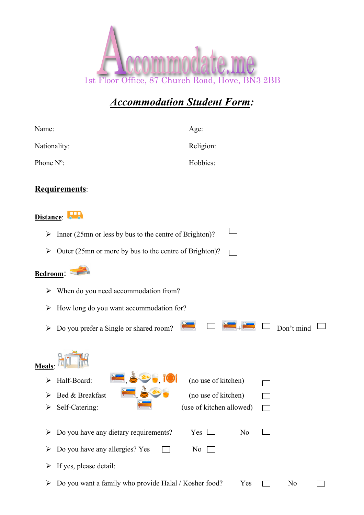

## *Accommodation Student Form:*

| Name:        |                                                        | Age:                     |                |  |                |  |  |
|--------------|--------------------------------------------------------|--------------------------|----------------|--|----------------|--|--|
| Nationality: |                                                        | Religion:                |                |  |                |  |  |
| Phone N°:    |                                                        | Hobbies:                 |                |  |                |  |  |
|              | <b>Requirements:</b>                                   |                          |                |  |                |  |  |
| Distance:    |                                                        |                          |                |  |                |  |  |
| ➤            | Inner (25mn or less by bus to the centre of Brighton)? |                          |                |  |                |  |  |
| ➤            | Outer (25mn or more by bus to the centre of Brighton)? |                          |                |  |                |  |  |
| Bedroom:     |                                                        |                          |                |  |                |  |  |
| ➤            | When do you need accommodation from?                   |                          |                |  |                |  |  |
| ➤            | How long do you want accommodation for?                |                          |                |  |                |  |  |
| ➤            | Do you prefer a Single or shared room?                 |                          |                |  | Don't mind     |  |  |
| <b>Meals</b> |                                                        |                          |                |  |                |  |  |
|              | Half-Board:                                            | (no use of kitchen)      |                |  |                |  |  |
| ➤            | Bed & Breakfast                                        | (no use of kitchen)      |                |  |                |  |  |
| ➤            | Self-Catering:                                         | (use of kitchen allowed) |                |  |                |  |  |
| ➤            | Do you have any dietary requirements?                  | Yes $\Box$               | N <sub>o</sub> |  |                |  |  |
| ➤            | Do you have any allergies? Yes                         | N <sub>0</sub>           |                |  |                |  |  |
| ➤            | If yes, please detail:                                 |                          |                |  |                |  |  |
| ➤            | Do you want a family who provide Halal / Kosher food?  |                          | Yes            |  | N <sub>0</sub> |  |  |